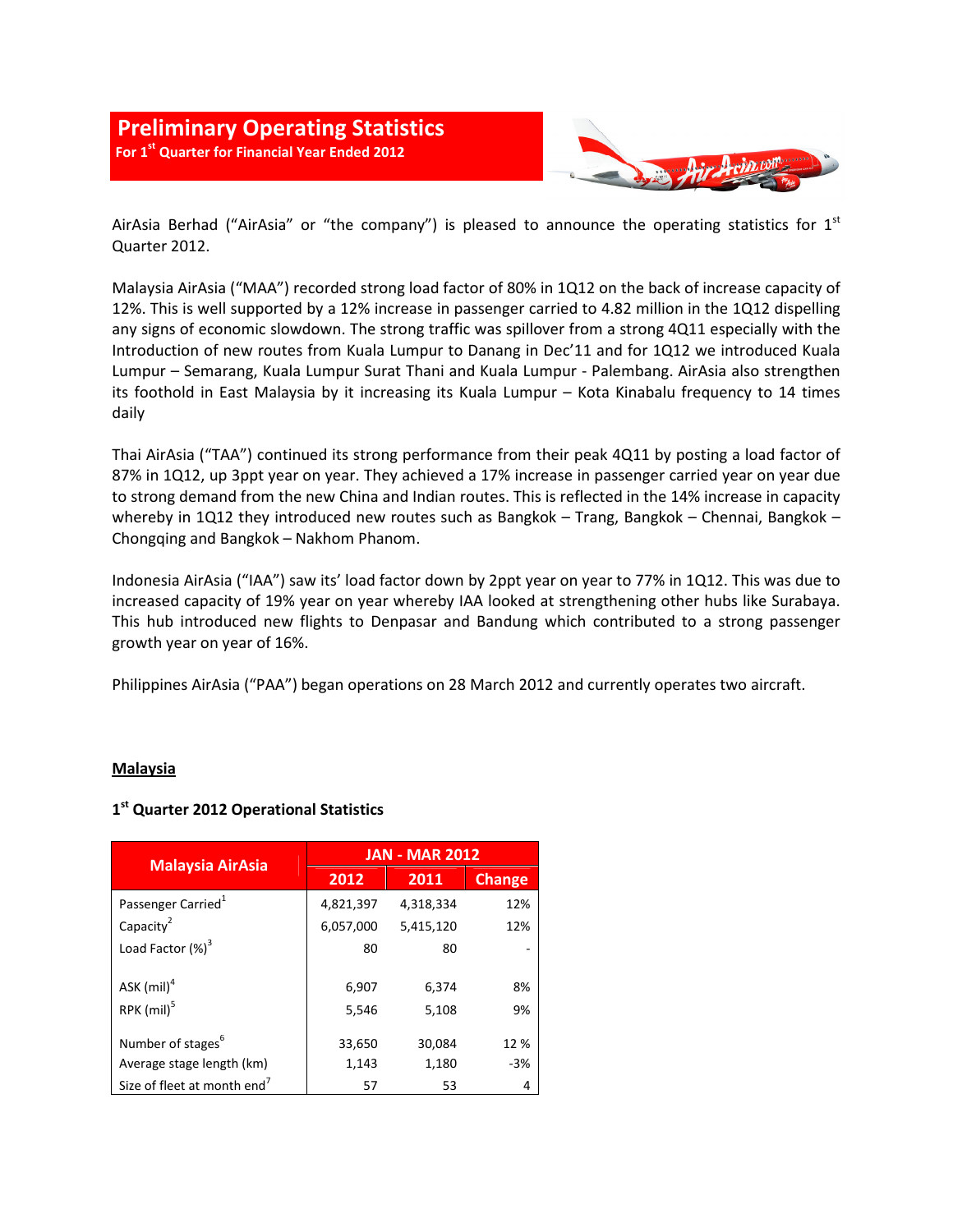# **Preliminary Operating Statistics For 1st Quarter for Financial Year Ended 2012**



AirAsia Berhad ("AirAsia" or "the company") is pleased to announce the operating statistics for  $1^{st}$ Quarter 2012.

Malaysia AirAsia ("MAA") recorded strong load factor of 80% in 1Q12 on the back of increase capacity of 12%. This is well supported by a 12% increase in passenger carried to 4.82 million in the 1Q12 dispelling any signs of economic slowdown. The strong traffic was spillover from a strong 4Q11 especially with the Introduction of new routes from Kuala Lumpur to Danang in Dec'11 and for 1Q12 we introduced Kuala Lumpur – Semarang, Kuala Lumpur Surat Thani and Kuala Lumpur - Palembang. AirAsia also strengthen its foothold in East Malaysia by it increasing its Kuala Lumpur – Kota Kinabalu frequency to 14 times daily

Thai AirAsia ("TAA") continued its strong performance from their peak 4Q11 by posting a load factor of 87% in 1Q12, up 3ppt year on year. They achieved a 17% increase in passenger carried year on year due to strong demand from the new China and Indian routes. This is reflected in the 14% increase in capacity whereby in 1Q12 they introduced new routes such as Bangkok – Trang, Bangkok – Chennai, Bangkok – Chongqing and Bangkok – Nakhom Phanom.

Indonesia AirAsia ("IAA") saw its' load factor down by 2ppt year on year to 77% in 1Q12. This was due to increased capacity of 19% year on year whereby IAA looked at strengthening other hubs like Surabaya. This hub introduced new flights to Denpasar and Bandung which contributed to a strong passenger growth year on year of 16%.

Philippines AirAsia ("PAA") began operations on 28 March 2012 and currently operates two aircraft.

#### **Malaysia**

#### **1 st Quarter 2012 Operational Statistics**

| <b>Malaysia AirAsia</b>                 | <b>JAN - MAR 2012</b> |                |               |
|-----------------------------------------|-----------------------|----------------|---------------|
|                                         | 2012                  | 2011           | <b>Change</b> |
| Passenger Carried <sup>1</sup>          | 4,821,397             | 4,318,334      | 12%           |
| Capacity <sup>2</sup>                   | 6,057,000             | 5,415,120      | 12%           |
| Load Factor $(\%)^3$                    | 80                    | 80             |               |
| ASK $(mil)^4$<br>RPK (mil) <sup>5</sup> | 6,907<br>5,546        | 6,374<br>5,108 | 8%<br>9%      |
| Number of stages <sup>6</sup>           | 33,650                | 30,084         | 12%           |
| Average stage length (km)               | 1,143                 | 1,180          | $-3%$         |
| Size of fleet at month end'             | 57                    | 53             | 4             |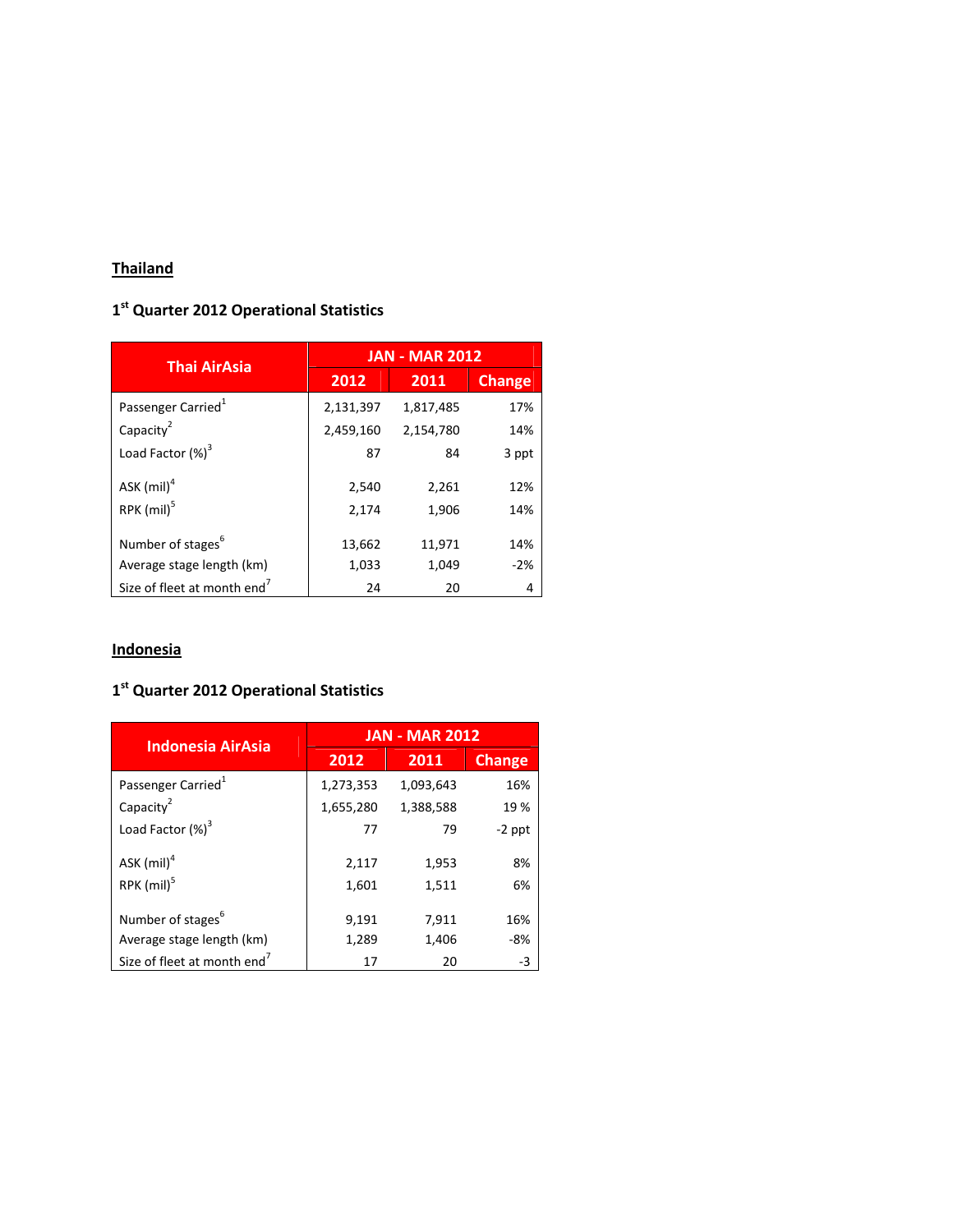# **Thailand**

### **1 st Quarter 2012 Operational Statistics**

| <b>Thai AirAsia</b>                     | <b>JAN - MAR 2012</b> |           |               |
|-----------------------------------------|-----------------------|-----------|---------------|
|                                         | 2012                  | 2011      | <b>Change</b> |
| Passenger Carried <sup>1</sup>          | 2,131,397             | 1,817,485 | 17%           |
| Capacity <sup>2</sup>                   | 2,459,160             | 2,154,780 | 14%           |
| Load Factor $(\%)^3$                    | 87                    | 84        | 3 ppt         |
| ASK $(mil)^4$                           | 2,540                 | 2,261     | 12%           |
| RPK (mil) <sup>5</sup>                  | 2,174                 | 1,906     | 14%           |
| Number of stages <sup>6</sup>           | 13,662                | 11,971    | 14%           |
| Average stage length (km)               | 1,033                 | 1,049     | $-2%$         |
| Size of fleet at month end <sup>7</sup> | 24                    | 20        | 4             |

# **Indonesia**

### **1 st Quarter 2012 Operational Statistics**

| <b>Indonesia AirAsia</b>                | <b>JAN - MAR 2012</b> |           |               |
|-----------------------------------------|-----------------------|-----------|---------------|
|                                         | 2012                  | 2011      | <b>Change</b> |
| Passenger Carried <sup>1</sup>          | 1,273,353             | 1,093,643 | 16%           |
| Capacity <sup>2</sup>                   | 1,655,280             | 1,388,588 | 19%           |
| Load Factor $(\%)^3$                    | 77                    | 79        | $-2$ ppt      |
| ASK $(mil)^4$                           | 2,117                 | 1,953     | 8%            |
| RPK (mil) <sup>5</sup>                  | 1,601                 | 1,511     | 6%            |
| Number of stages <sup>6</sup>           | 9,191                 | 7,911     | 16%           |
| Average stage length (km)               | 1,289                 | 1,406     | -8%           |
| Size of fleet at month end <sup>7</sup> | 17                    | 20        | -3            |